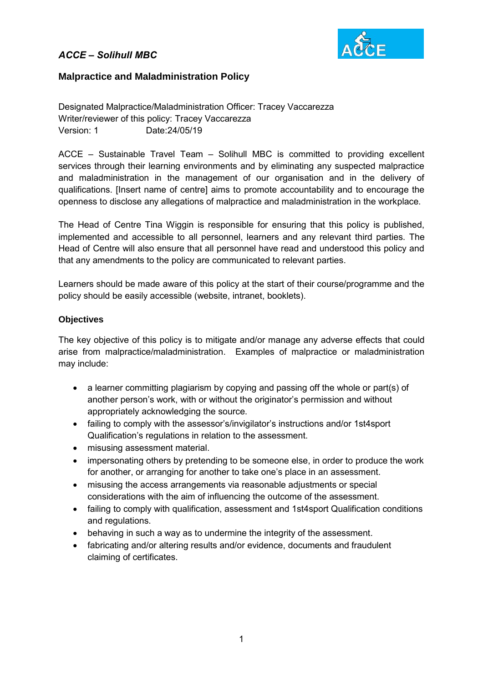

### **Malpractice and Maladministration Policy**

Designated Malpractice/Maladministration Officer: Tracey Vaccarezza Writer/reviewer of this policy: Tracey Vaccarezza Version: 1 Date:24/05/19

ACCE – Sustainable Travel Team – Solihull MBC is committed to providing excellent services through their learning environments and by eliminating any suspected malpractice and maladministration in the management of our organisation and in the delivery of qualifications. [Insert name of centre] aims to promote accountability and to encourage the openness to disclose any allegations of malpractice and maladministration in the workplace.

The Head of Centre Tina Wiggin is responsible for ensuring that this policy is published, implemented and accessible to all personnel, learners and any relevant third parties. The Head of Centre will also ensure that all personnel have read and understood this policy and that any amendments to the policy are communicated to relevant parties.

Learners should be made aware of this policy at the start of their course/programme and the policy should be easily accessible (website, intranet, booklets).

### **Objectives**

The key objective of this policy is to mitigate and/or manage any adverse effects that could arise from malpractice/maladministration. Examples of malpractice or maladministration may include:

- a learner committing plagiarism by copying and passing off the whole or part(s) of another person's work, with or without the originator's permission and without appropriately acknowledging the source.
- failing to comply with the assessor's/invigilator's instructions and/or 1st4sport Qualification's regulations in relation to the assessment.
- misusing assessment material.
- impersonating others by pretending to be someone else, in order to produce the work for another, or arranging for another to take one's place in an assessment.
- misusing the access arrangements via reasonable adjustments or special considerations with the aim of influencing the outcome of the assessment.
- failing to comply with qualification, assessment and 1st4sport Qualification conditions and regulations.
- behaving in such a way as to undermine the integrity of the assessment.
- fabricating and/or altering results and/or evidence, documents and fraudulent claiming of certificates.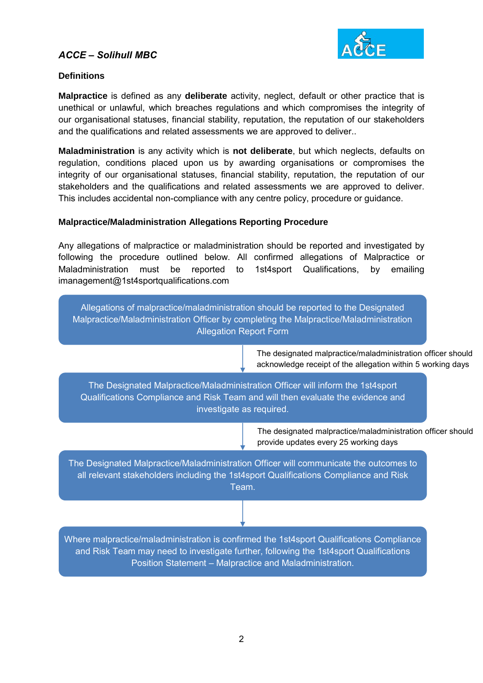

### **Definitions**

**Malpractice** is defined as any **deliberate** activity, neglect, default or other practice that is unethical or unlawful, which breaches regulations and which compromises the integrity of our organisational statuses, financial stability, reputation, the reputation of our stakeholders and the qualifications and related assessments we are approved to deliver..

**Maladministration** is any activity which is **not deliberate**, but which neglects, defaults on regulation, conditions placed upon us by awarding organisations or compromises the integrity of our organisational statuses, financial stability, reputation, the reputation of our stakeholders and the qualifications and related assessments we are approved to deliver. This includes accidental non-compliance with any centre policy, procedure or guidance.

### **Malpractice/Maladministration Allegations Reporting Procedure**

Any allegations of malpractice or maladministration should be reported and investigated by following the procedure outlined below. All confirmed allegations of Malpractice or Maladministration must be reported to 1st4sport Qualifications, by emailing imanagement@1st4sportqualifications.com



The designated malpractice/maladministration officer should acknowledge receipt of the allegation within 5 working days

The Designated Malpractice/Maladministration Officer will inform the 1st4sport Qualifications Compliance and Risk Team and will then evaluate the evidence and investigate as required.

> The designated malpractice/maladministration officer should provide updates every 25 working days

The Designated Malpractice/Maladministration Officer will communicate the outcomes to all relevant stakeholders including the 1st4sport Qualifications Compliance and Risk Team.

Where malpractice/maladministration is confirmed the 1st4sport Qualifications Compliance and Risk Team may need to investigate further, following the 1st4sport Qualifications Position Statement – Malpractice and Maladministration.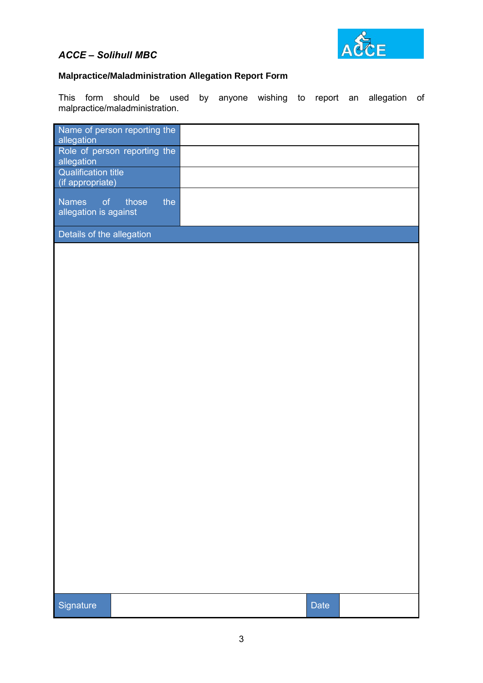

# **Malpractice/Maladministration Allegation Report Form**

This form should be used by anyone wishing to report an allegation of malpractice/maladministration.

| Name of person reporting the<br>allegation     |       |     |      |  |
|------------------------------------------------|-------|-----|------|--|
| Role of person reporting the<br>allegation     |       |     |      |  |
| <b>Qualification title</b><br>(if appropriate) |       |     |      |  |
| <b>Names</b><br>of<br>allegation is against    | those | the |      |  |
| Details of the allegation                      |       |     |      |  |
|                                                |       |     |      |  |
|                                                |       |     |      |  |
|                                                |       |     |      |  |
|                                                |       |     |      |  |
|                                                |       |     |      |  |
|                                                |       |     |      |  |
|                                                |       |     |      |  |
|                                                |       |     |      |  |
|                                                |       |     |      |  |
|                                                |       |     |      |  |
|                                                |       |     |      |  |
|                                                |       |     |      |  |
|                                                |       |     |      |  |
|                                                |       |     |      |  |
|                                                |       |     |      |  |
|                                                |       |     |      |  |
|                                                |       |     |      |  |
|                                                |       |     |      |  |
|                                                |       |     |      |  |
| Signature                                      |       |     | Date |  |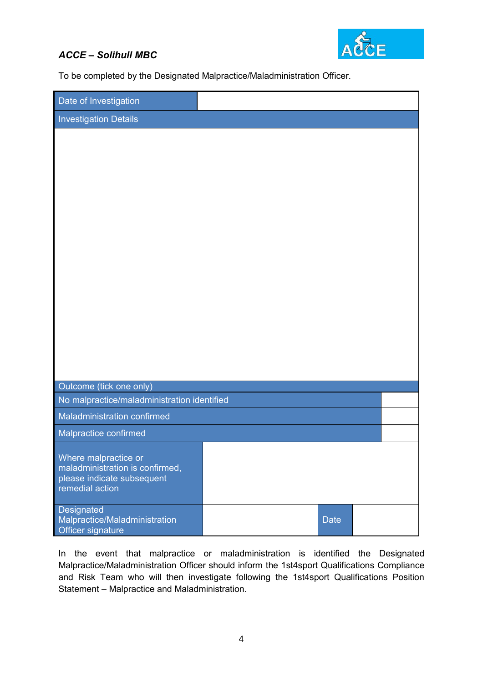

To be completed by the Designated Malpractice/Maladministration Officer.

| Date of Investigation                         |  |             |  |  |  |  |  |  |  |
|-----------------------------------------------|--|-------------|--|--|--|--|--|--|--|
| <b>Investigation Details</b>                  |  |             |  |  |  |  |  |  |  |
|                                               |  |             |  |  |  |  |  |  |  |
|                                               |  |             |  |  |  |  |  |  |  |
|                                               |  |             |  |  |  |  |  |  |  |
|                                               |  |             |  |  |  |  |  |  |  |
|                                               |  |             |  |  |  |  |  |  |  |
|                                               |  |             |  |  |  |  |  |  |  |
|                                               |  |             |  |  |  |  |  |  |  |
|                                               |  |             |  |  |  |  |  |  |  |
|                                               |  |             |  |  |  |  |  |  |  |
|                                               |  |             |  |  |  |  |  |  |  |
|                                               |  |             |  |  |  |  |  |  |  |
|                                               |  |             |  |  |  |  |  |  |  |
|                                               |  |             |  |  |  |  |  |  |  |
|                                               |  |             |  |  |  |  |  |  |  |
|                                               |  |             |  |  |  |  |  |  |  |
| Outcome (tick one only)                       |  |             |  |  |  |  |  |  |  |
| No malpractice/maladministration identified   |  |             |  |  |  |  |  |  |  |
| Maladministration confirmed                   |  |             |  |  |  |  |  |  |  |
| Malpractice confirmed                         |  |             |  |  |  |  |  |  |  |
| Where malpractice or                          |  |             |  |  |  |  |  |  |  |
| maladministration is confirmed,               |  |             |  |  |  |  |  |  |  |
| please indicate subsequent<br>remedial action |  |             |  |  |  |  |  |  |  |
|                                               |  |             |  |  |  |  |  |  |  |
| Designated<br>Malpractice/Maladministration   |  | <b>Date</b> |  |  |  |  |  |  |  |
| Officer signature                             |  |             |  |  |  |  |  |  |  |

In the event that malpractice or maladministration is identified the Designated Malpractice/Maladministration Officer should inform the 1st4sport Qualifications Compliance and Risk Team who will then investigate following the 1st4sport Qualifications Position Statement – Malpractice and Maladministration.